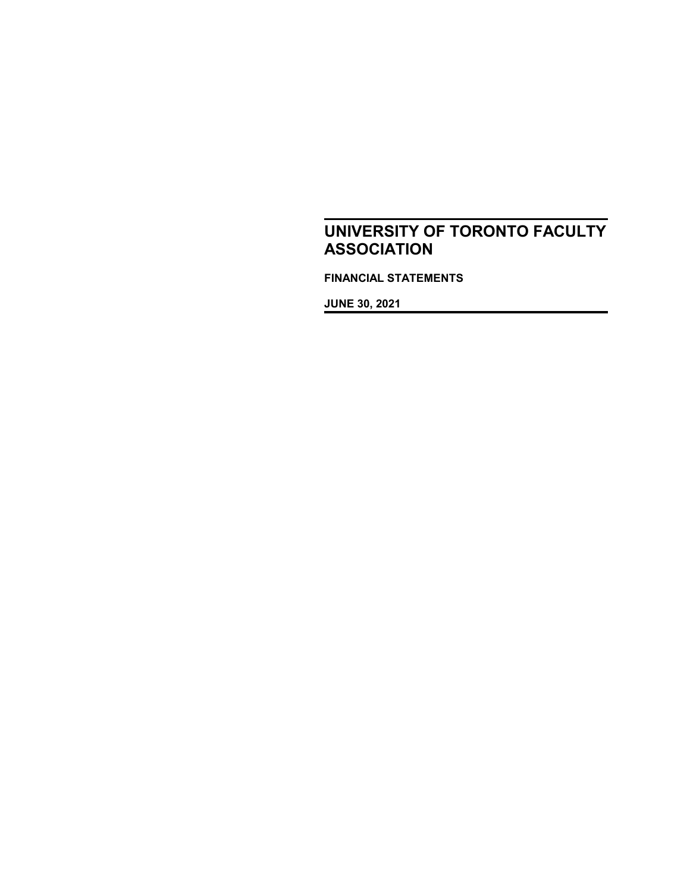**FINANCIAL STATEMENTS**

**JUNE 30, 2021**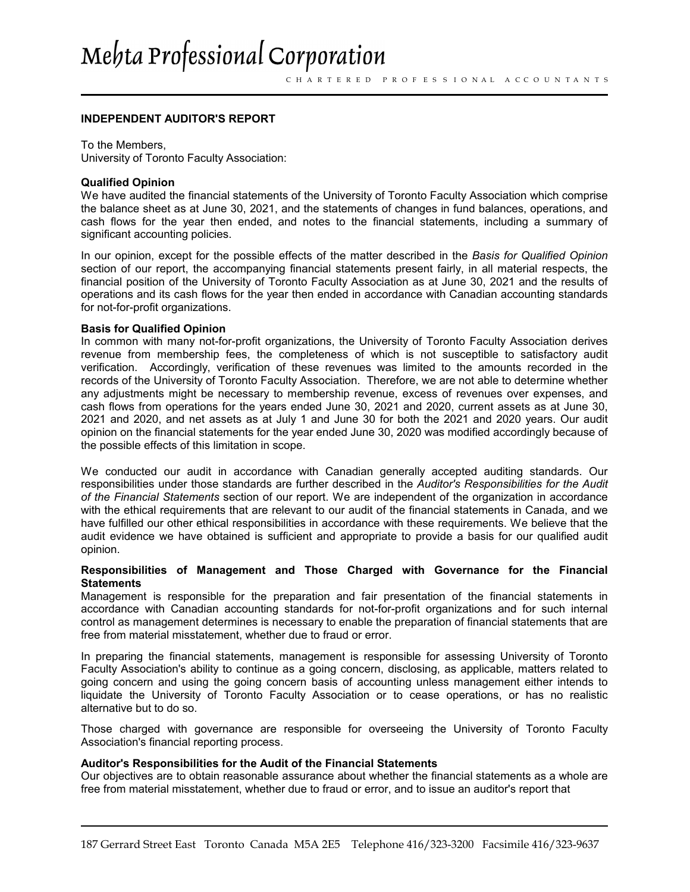# Mehta Professional Corporation

#### **INDEPENDENT AUDITOR'S REPORT**

To the Members, University of Toronto Faculty Association:

#### **Qualified Opinion**

We have audited the financial statements of the University of Toronto Faculty Association which comprise the balance sheet as at June 30, 2021, and the statements of changes in fund balances, operations, and cash flows for the year then ended, and notes to the financial statements, including a summary of significant accounting policies.

In our opinion, except for the possible effects of the matter described in the *Basis for Qualified Opinion* section of our report, the accompanying financial statements present fairly, in all material respects, the financial position of the University of Toronto Faculty Association as at June 30, 2021 and the results of operations and its cash flows for the year then ended in accordance with Canadian accounting standards for not-for-profit organizations.

#### **Basis for Qualified Opinion**

In common with many not-for-profit organizations, the University of Toronto Faculty Association derives revenue from membership fees, the completeness of which is not susceptible to satisfactory audit verification. Accordingly, verification of these revenues was limited to the amounts recorded in the records of the University of Toronto Faculty Association. Therefore, we are not able to determine whether any adjustments might be necessary to membership revenue, excess of revenues over expenses, and cash flows from operations for the years ended June 30, 2021 and 2020, current assets as at June 30, 2021 and 2020, and net assets as at July 1 and June 30 for both the 2021 and 2020 years. Our audit opinion on the financial statements for the year ended June 30, 2020 was modified accordingly because of the possible effects of this limitation in scope.

We conducted our audit in accordance with Canadian generally accepted auditing standards. Our responsibilities under those standards are further described in the *Auditor's Responsibilities for the Audit of the Financial Statements* section of our report. We are independent of the organization in accordance with the ethical requirements that are relevant to our audit of the financial statements in Canada, and we have fulfilled our other ethical responsibilities in accordance with these requirements. We believe that the audit evidence we have obtained is sufficient and appropriate to provide a basis for our qualified audit opinion.

#### **Responsibilities of Management and Those Charged with Governance for the Financial Statements**

Management is responsible for the preparation and fair presentation of the financial statements in accordance with Canadian accounting standards for not-for-profit organizations and for such internal control as management determines is necessary to enable the preparation of financial statements that are free from material misstatement, whether due to fraud or error.

In preparing the financial statements, management is responsible for assessing University of Toronto Faculty Association's ability to continue as a going concern, disclosing, as applicable, matters related to going concern and using the going concern basis of accounting unless management either intends to liquidate the University of Toronto Faculty Association or to cease operations, or has no realistic alternative but to do so.

Those charged with governance are responsible for overseeing the University of Toronto Faculty Association's financial reporting process.

#### **Auditor's Responsibilities for the Audit of the Financial Statements**

Our objectives are to obtain reasonable assurance about whether the financial statements as a whole are free from material misstatement, whether due to fraud or error, and to issue an auditor's report that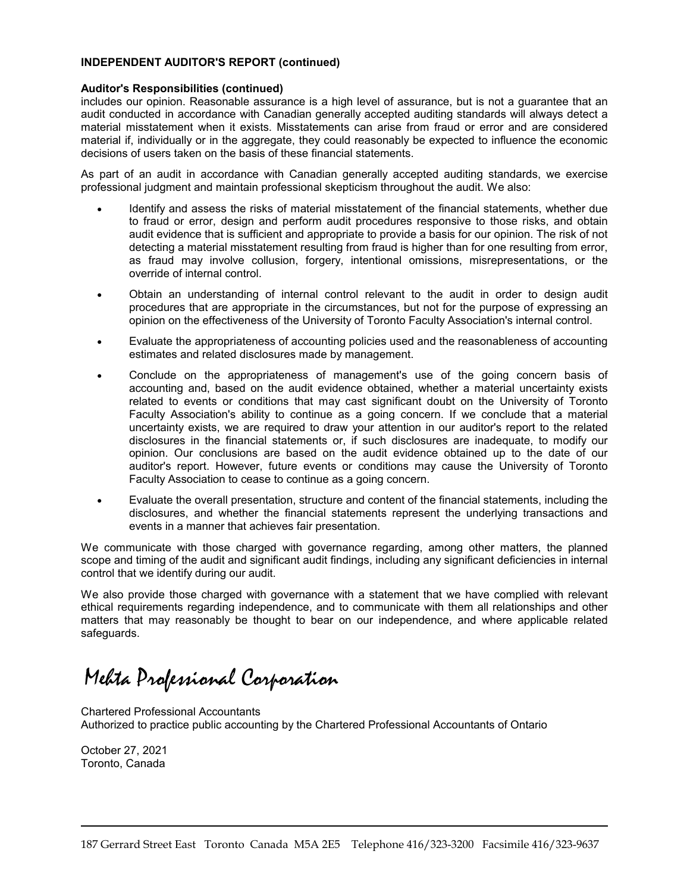#### **INDEPENDENT AUDITOR'S REPORT (continued)**

#### **Auditor's Responsibilities (continued)**

includes our opinion. Reasonable assurance is a high level of assurance, but is not a guarantee that an audit conducted in accordance with Canadian generally accepted auditing standards will always detect a material misstatement when it exists. Misstatements can arise from fraud or error and are considered material if, individually or in the aggregate, they could reasonably be expected to influence the economic decisions of users taken on the basis of these financial statements.

As part of an audit in accordance with Canadian generally accepted auditing standards, we exercise professional judgment and maintain professional skepticism throughout the audit. We also:

- Identify and assess the risks of material misstatement of the financial statements, whether due to fraud or error, design and perform audit procedures responsive to those risks, and obtain audit evidence that is sufficient and appropriate to provide a basis for our opinion. The risk of not detecting a material misstatement resulting from fraud is higher than for one resulting from error, as fraud may involve collusion, forgery, intentional omissions, misrepresentations, or the override of internal control.
- Obtain an understanding of internal control relevant to the audit in order to design audit procedures that are appropriate in the circumstances, but not for the purpose of expressing an opinion on the effectiveness of the University of Toronto Faculty Association's internal control.
- Evaluate the appropriateness of accounting policies used and the reasonableness of accounting estimates and related disclosures made by management.
- Conclude on the appropriateness of management's use of the going concern basis of accounting and, based on the audit evidence obtained, whether a material uncertainty exists related to events or conditions that may cast significant doubt on the University of Toronto Faculty Association's ability to continue as a going concern. If we conclude that a material uncertainty exists, we are required to draw your attention in our auditor's report to the related disclosures in the financial statements or, if such disclosures are inadequate, to modify our opinion. Our conclusions are based on the audit evidence obtained up to the date of our auditor's report. However, future events or conditions may cause the University of Toronto Faculty Association to cease to continue as a going concern.
- Evaluate the overall presentation, structure and content of the financial statements, including the disclosures, and whether the financial statements represent the underlying transactions and events in a manner that achieves fair presentation.

We communicate with those charged with governance regarding, among other matters, the planned scope and timing of the audit and significant audit findings, including any significant deficiencies in internal control that we identify during our audit.

We also provide those charged with governance with a statement that we have complied with relevant ethical requirements regarding independence, and to communicate with them all relationships and other matters that may reasonably be thought to bear on our independence, and where applicable related safeguards.

Mehta Professional Corporation

Chartered Professional Accountants Authorized to practice public accounting by the Chartered Professional Accountants of Ontario

October 27, 2021 Toronto, Canada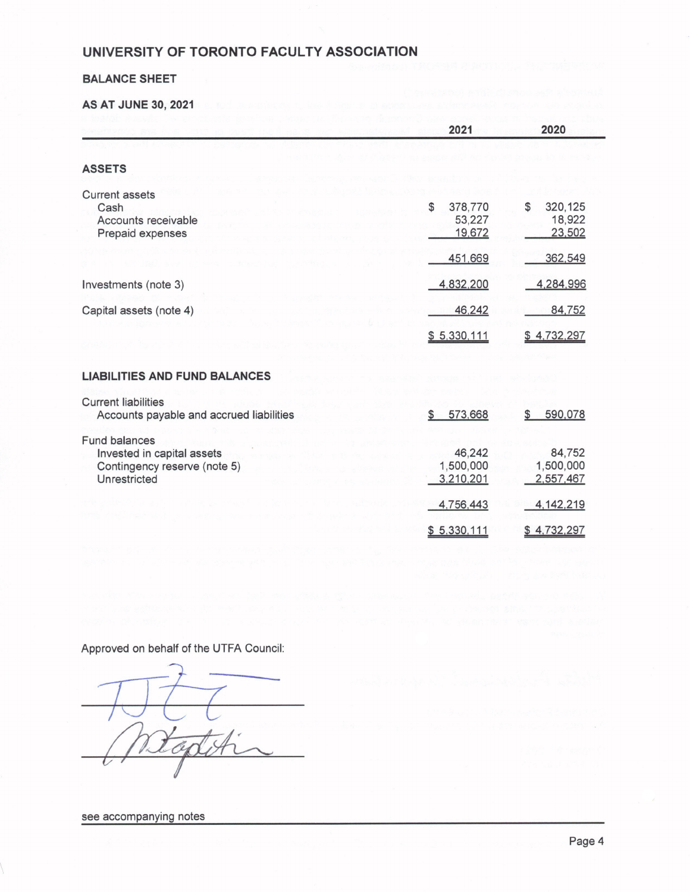#### **BALANCE SHEET**

**AS AT JUNE 30, 2021** 

|                                                                                             | 2021                              | 2020                              |
|---------------------------------------------------------------------------------------------|-----------------------------------|-----------------------------------|
|                                                                                             |                                   |                                   |
| <b>ASSETS</b>                                                                               |                                   |                                   |
| <b>Current assets</b><br>Cash<br>Accounts receivable<br>Prepaid expenses                    | \$<br>378,770<br>53,227<br>19,672 | 320,125<br>\$<br>18,922<br>23,502 |
|                                                                                             | 451,669                           | 362,549                           |
| Investments (note 3)                                                                        | 4,832,200                         | 4,284,996                         |
| Capital assets (note 4)                                                                     | 46,242                            | 84,752                            |
|                                                                                             | \$5,330,111                       | \$4,732,297                       |
| <b>LIABILITIES AND FUND BALANCES</b>                                                        |                                   |                                   |
| <b>Current liabilities</b><br>Accounts payable and accrued liabilities                      | 573,668<br>\$                     | 590,078<br>\$                     |
| Fund balances<br>Invested in capital assets<br>Contingency reserve (note 5)<br>Unrestricted | 46,242<br>1,500,000<br>3,210,201  | 84,752<br>1,500,000<br>2,557,467  |
|                                                                                             | 4,756,443                         | 4, 142, 219                       |
|                                                                                             | \$5,330,111                       | \$4,732,297                       |

Approved on behalf of the UTFA Council:

see accompanying notes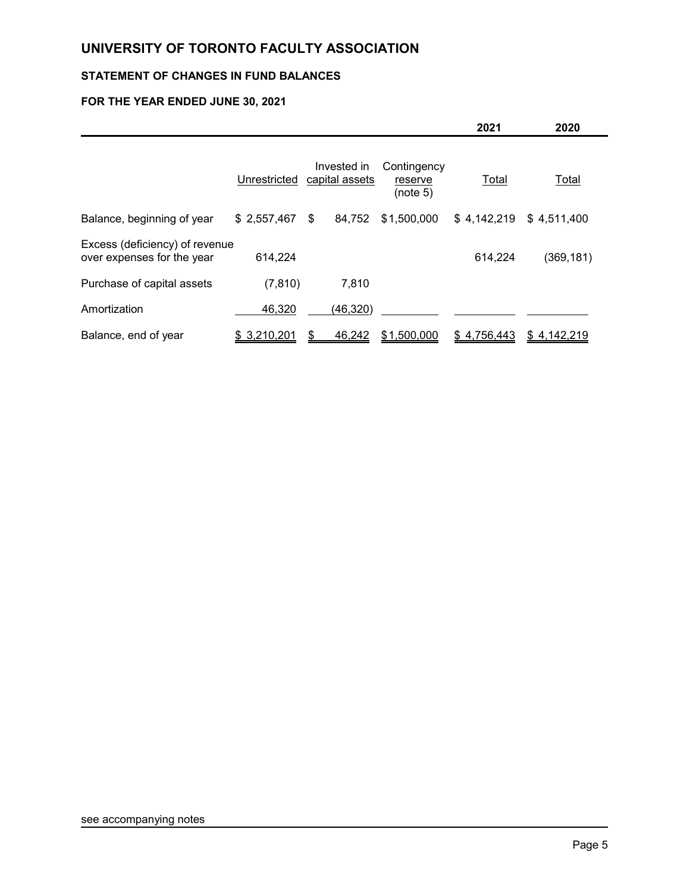# **STATEMENT OF CHANGES IN FUND BALANCES**

## **FOR THE YEAR ENDED JUNE 30, 2021**

|                                                              |              |                               |                                    | 2021         | 2020         |  |
|--------------------------------------------------------------|--------------|-------------------------------|------------------------------------|--------------|--------------|--|
|                                                              | Unrestricted | Invested in<br>capital assets | Contingency<br>reserve<br>(note 5) | <b>Total</b> | <b>Total</b> |  |
| Balance, beginning of year                                   | \$2,557,467  | 84,752<br>\$                  | \$1,500,000                        | \$4,142,219  | \$4,511,400  |  |
| Excess (deficiency) of revenue<br>over expenses for the year | 614,224      |                               |                                    | 614,224      | (369, 181)   |  |
| Purchase of capital assets                                   | (7, 810)     | 7,810                         |                                    |              |              |  |
| Amortization                                                 | 46,320       | (46, 320)                     |                                    |              |              |  |
| Balance, end of year                                         | \$3,210,201  | 46,242                        | \$1,500,000                        | \$4,756,443  | \$4,142,219  |  |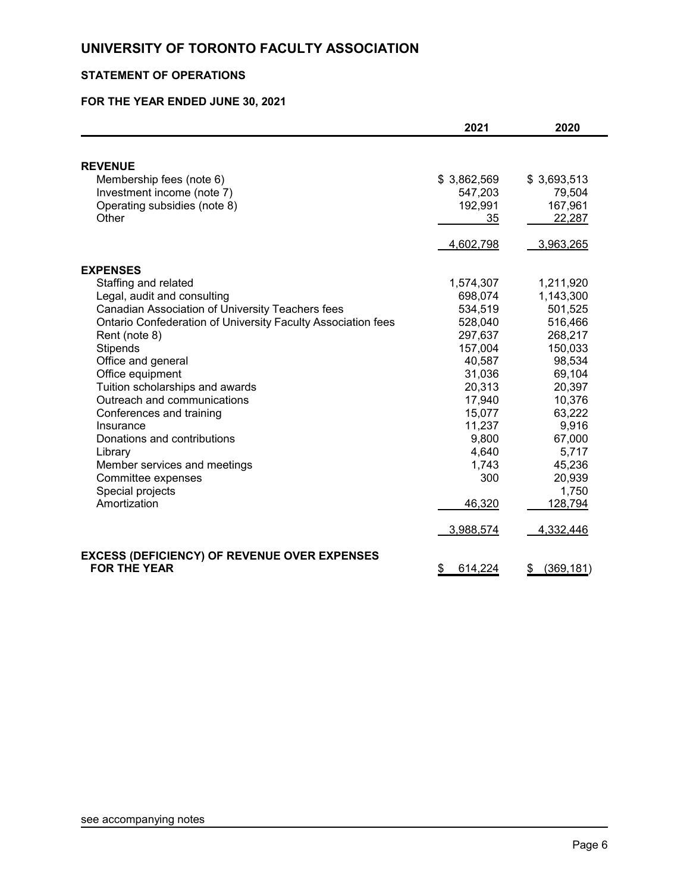# **STATEMENT OF OPERATIONS**

## **FOR THE YEAR ENDED JUNE 30, 2021**

|                                                              | 2021          | 2020             |
|--------------------------------------------------------------|---------------|------------------|
|                                                              |               |                  |
| <b>REVENUE</b>                                               |               |                  |
| Membership fees (note 6)                                     | \$3,862,569   | \$3,693,513      |
| Investment income (note 7)                                   | 547,203       | 79,504           |
| Operating subsidies (note 8)                                 | 192,991       | 167,961          |
| Other                                                        | 35            | 22,287           |
|                                                              | 4,602,798     | 3,963,265        |
| <b>EXPENSES</b>                                              |               |                  |
| Staffing and related                                         | 1,574,307     | 1,211,920        |
| Legal, audit and consulting                                  | 698,074       | 1,143,300        |
| Canadian Association of University Teachers fees             | 534,519       | 501,525          |
| Ontario Confederation of University Faculty Association fees | 528,040       | 516,466          |
| Rent (note 8)                                                | 297,637       | 268,217          |
| Stipends                                                     | 157,004       | 150,033          |
| Office and general                                           | 40,587        | 98,534           |
| Office equipment                                             | 31,036        | 69,104           |
| Tuition scholarships and awards                              | 20,313        | 20,397           |
| Outreach and communications                                  | 17,940        | 10,376           |
| Conferences and training                                     | 15,077        | 63,222           |
| Insurance                                                    | 11,237        | 9,916            |
| Donations and contributions                                  | 9,800         | 67,000           |
| Library                                                      | 4,640         | 5,717            |
| Member services and meetings                                 | 1,743         | 45,236           |
| Committee expenses                                           | 300           | 20,939           |
| Special projects                                             |               | 1,750            |
| Amortization                                                 | 46,320        | 128,794          |
|                                                              | 3,988,574     | 4,332,446        |
| <b>EXCESS (DEFICIENCY) OF REVENUE OVER EXPENSES</b>          |               |                  |
| <b>FOR THE YEAR</b>                                          | \$<br>614,224 | \$<br>(369, 181) |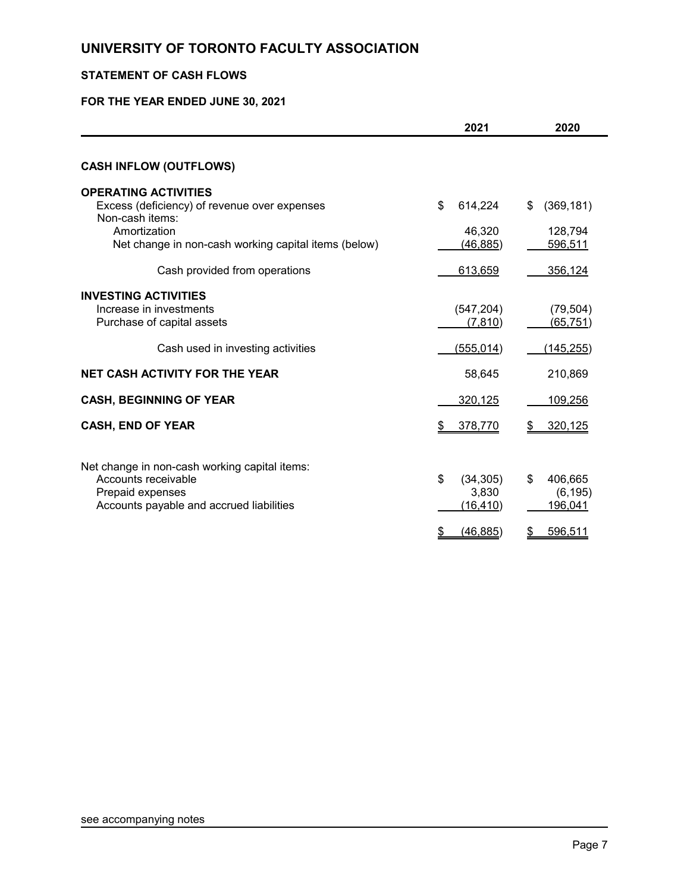# **STATEMENT OF CASH FLOWS**

### **FOR THE YEAR ENDED JUNE 30, 2021**

|                                                                                                                                                                        | 2021                                  | 2020                                   |
|------------------------------------------------------------------------------------------------------------------------------------------------------------------------|---------------------------------------|----------------------------------------|
| <b>CASH INFLOW (OUTFLOWS)</b>                                                                                                                                          |                                       |                                        |
| <b>OPERATING ACTIVITIES</b><br>Excess (deficiency) of revenue over expenses<br>Non-cash items:<br>Amortization<br>Net change in non-cash working capital items (below) | \$<br>614,224<br>46,320<br>(46, 885)  | \$<br>(369, 181)<br>128,794<br>596,511 |
| Cash provided from operations                                                                                                                                          | 613,659                               | 356,124                                |
| <b>INVESTING ACTIVITIES</b><br>Increase in investments<br>Purchase of capital assets                                                                                   | (547, 204)<br>(7, 810)                | (79, 504)<br>(65, 751)                 |
| Cash used in investing activities                                                                                                                                      | <u>(555,014)</u>                      | (145, 255)                             |
| <b>NET CASH ACTIVITY FOR THE YEAR</b>                                                                                                                                  | 58,645                                | 210,869                                |
| <b>CASH, BEGINNING OF YEAR</b>                                                                                                                                         | 320,125                               | 109,256                                |
| <b>CASH, END OF YEAR</b>                                                                                                                                               | 378,770                               | 320,125                                |
| Net change in non-cash working capital items:<br>Accounts receivable<br>Prepaid expenses<br>Accounts payable and accrued liabilities                                   | \$<br>(34, 305)<br>3,830<br>(16, 410) | \$<br>406,665<br>(6, 195)<br>196,041   |
|                                                                                                                                                                        | (46, 885)                             | 596,511                                |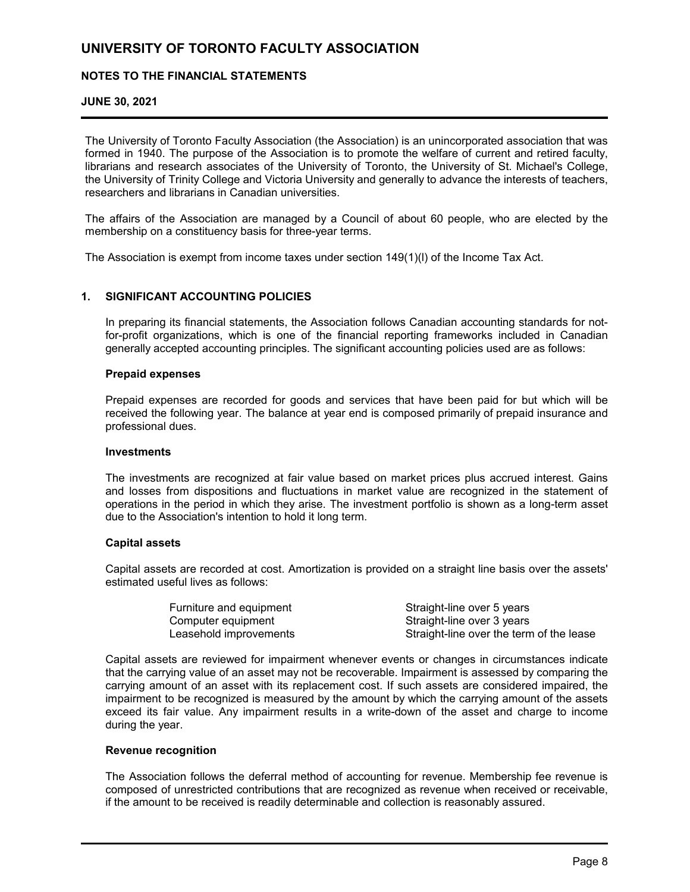#### **NOTES TO THE FINANCIAL STATEMENTS**

#### **JUNE 30, 2021**

The University of Toronto Faculty Association (the Association) is an unincorporated association that was formed in 1940. The purpose of the Association is to promote the welfare of current and retired faculty, librarians and research associates of the University of Toronto, the University of St. Michael's College, the University of Trinity College and Victoria University and generally to advance the interests of teachers, researchers and librarians in Canadian universities.

The affairs of the Association are managed by a Council of about 60 people, who are elected by the membership on a constituency basis for three-year terms.

The Association is exempt from income taxes under section 149(1)(l) of the Income Tax Act.

#### **1. SIGNIFICANT ACCOUNTING POLICIES**

In preparing its financial statements, the Association follows Canadian accounting standards for notfor-profit organizations, which is one of the financial reporting frameworks included in Canadian generally accepted accounting principles. The significant accounting policies used are as follows:

#### **Prepaid expenses**

Prepaid expenses are recorded for goods and services that have been paid for but which will be received the following year. The balance at year end is composed primarily of prepaid insurance and professional dues.

#### **Investments**

The investments are recognized at fair value based on market prices plus accrued interest. Gains and losses from dispositions and fluctuations in market value are recognized in the statement of operations in the period in which they arise. The investment portfolio is shown as a long-term asset due to the Association's intention to hold it long term.

#### **Capital assets**

Capital assets are recorded at cost. Amortization is provided on a straight line basis over the assets' estimated useful lives as follows:

| Furniture and equipment | Straight-line over 5 years               |
|-------------------------|------------------------------------------|
| Computer equipment      | Straight-line over 3 years               |
| Leasehold improvements  | Straight-line over the term of the lease |

Capital assets are reviewed for impairment whenever events or changes in circumstances indicate that the carrying value of an asset may not be recoverable. Impairment is assessed by comparing the carrying amount of an asset with its replacement cost. If such assets are considered impaired, the impairment to be recognized is measured by the amount by which the carrying amount of the assets exceed its fair value. Any impairment results in a write-down of the asset and charge to income during the year.

#### **Revenue recognition**

The Association follows the deferral method of accounting for revenue. Membership fee revenue is composed of unrestricted contributions that are recognized as revenue when received or receivable, if the amount to be received is readily determinable and collection is reasonably assured.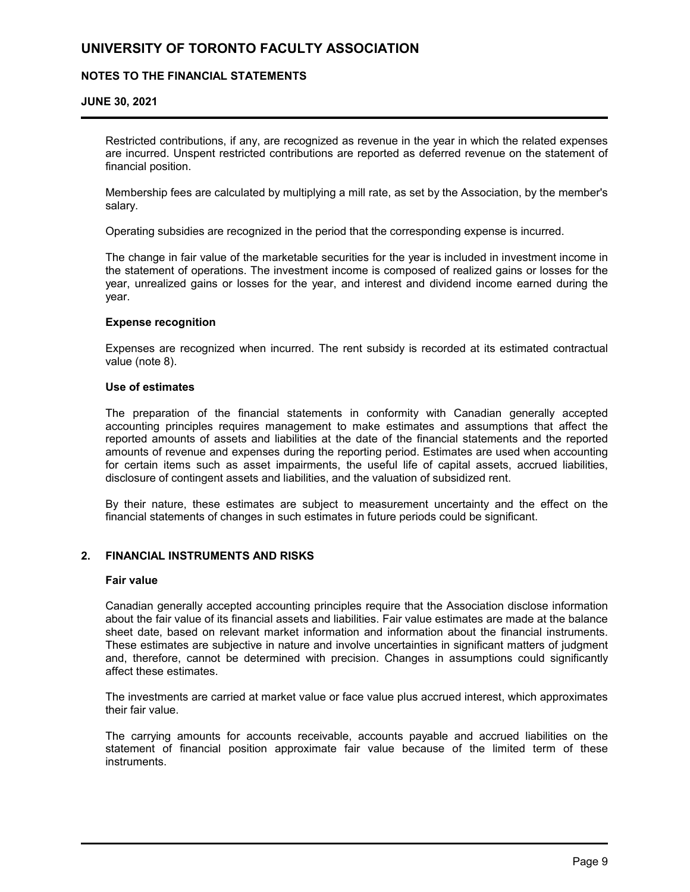#### **NOTES TO THE FINANCIAL STATEMENTS**

#### **JUNE 30, 2021**

Restricted contributions, if any, are recognized as revenue in the year in which the related expenses are incurred. Unspent restricted contributions are reported as deferred revenue on the statement of financial position.

Membership fees are calculated by multiplying a mill rate, as set by the Association, by the member's salary.

Operating subsidies are recognized in the period that the corresponding expense is incurred.

The change in fair value of the marketable securities for the year is included in investment income in the statement of operations. The investment income is composed of realized gains or losses for the year, unrealized gains or losses for the year, and interest and dividend income earned during the year.

#### **Expense recognition**

Expenses are recognized when incurred. The rent subsidy is recorded at its estimated contractual value (note 8).

#### **Use of estimates**

The preparation of the financial statements in conformity with Canadian generally accepted accounting principles requires management to make estimates and assumptions that affect the reported amounts of assets and liabilities at the date of the financial statements and the reported amounts of revenue and expenses during the reporting period. Estimates are used when accounting for certain items such as asset impairments, the useful life of capital assets, accrued liabilities, disclosure of contingent assets and liabilities, and the valuation of subsidized rent.

By their nature, these estimates are subject to measurement uncertainty and the effect on the financial statements of changes in such estimates in future periods could be significant.

#### **2. FINANCIAL INSTRUMENTS AND RISKS**

#### **Fair value**

Canadian generally accepted accounting principles require that the Association disclose information about the fair value of its financial assets and liabilities. Fair value estimates are made at the balance sheet date, based on relevant market information and information about the financial instruments. These estimates are subjective in nature and involve uncertainties in significant matters of judgment and, therefore, cannot be determined with precision. Changes in assumptions could significantly affect these estimates.

The investments are carried at market value or face value plus accrued interest, which approximates their fair value.

The carrying amounts for accounts receivable, accounts payable and accrued liabilities on the statement of financial position approximate fair value because of the limited term of these instruments.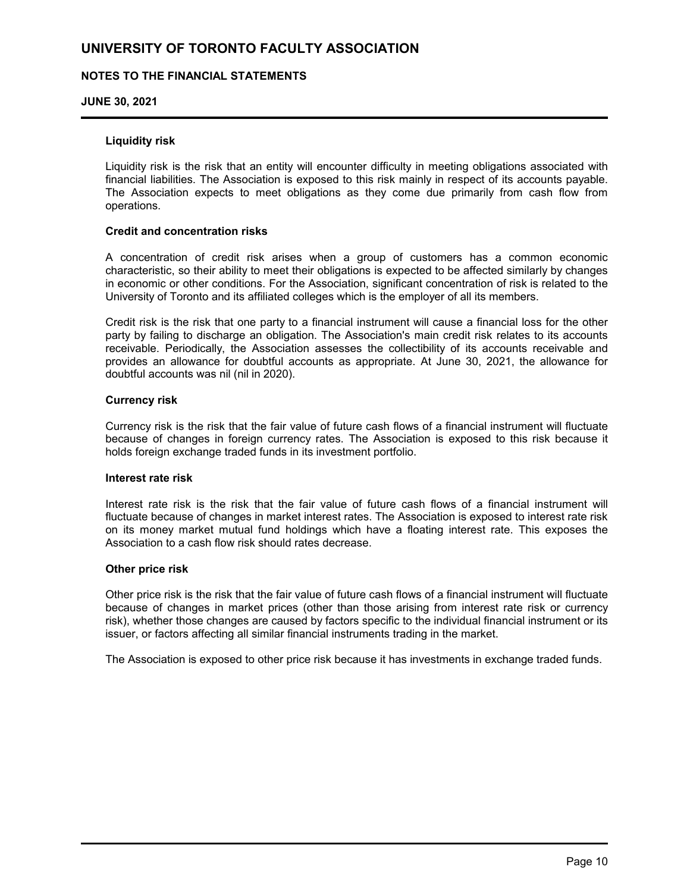#### **NOTES TO THE FINANCIAL STATEMENTS**

#### **JUNE 30, 2021**

#### **Liquidity risk**

Liquidity risk is the risk that an entity will encounter difficulty in meeting obligations associated with financial liabilities. The Association is exposed to this risk mainly in respect of its accounts payable. The Association expects to meet obligations as they come due primarily from cash flow from operations.

#### **Credit and concentration risks**

A concentration of credit risk arises when a group of customers has a common economic characteristic, so their ability to meet their obligations is expected to be affected similarly by changes in economic or other conditions. For the Association, significant concentration of risk is related to the University of Toronto and its affiliated colleges which is the employer of all its members.

Credit risk is the risk that one party to a financial instrument will cause a financial loss for the other party by failing to discharge an obligation. The Association's main credit risk relates to its accounts receivable. Periodically, the Association assesses the collectibility of its accounts receivable and provides an allowance for doubtful accounts as appropriate. At June 30, 2021, the allowance for doubtful accounts was nil (nil in 2020).

#### **Currency risk**

Currency risk is the risk that the fair value of future cash flows of a financial instrument will fluctuate because of changes in foreign currency rates. The Association is exposed to this risk because it holds foreign exchange traded funds in its investment portfolio.

#### **Interest rate risk**

Interest rate risk is the risk that the fair value of future cash flows of a financial instrument will fluctuate because of changes in market interest rates. The Association is exposed to interest rate risk on its money market mutual fund holdings which have a floating interest rate. This exposes the Association to a cash flow risk should rates decrease.

#### **Other price risk**

Other price risk is the risk that the fair value of future cash flows of a financial instrument will fluctuate because of changes in market prices (other than those arising from interest rate risk or currency risk), whether those changes are caused by factors specific to the individual financial instrument or its issuer, or factors affecting all similar financial instruments trading in the market.

The Association is exposed to other price risk because it has investments in exchange traded funds.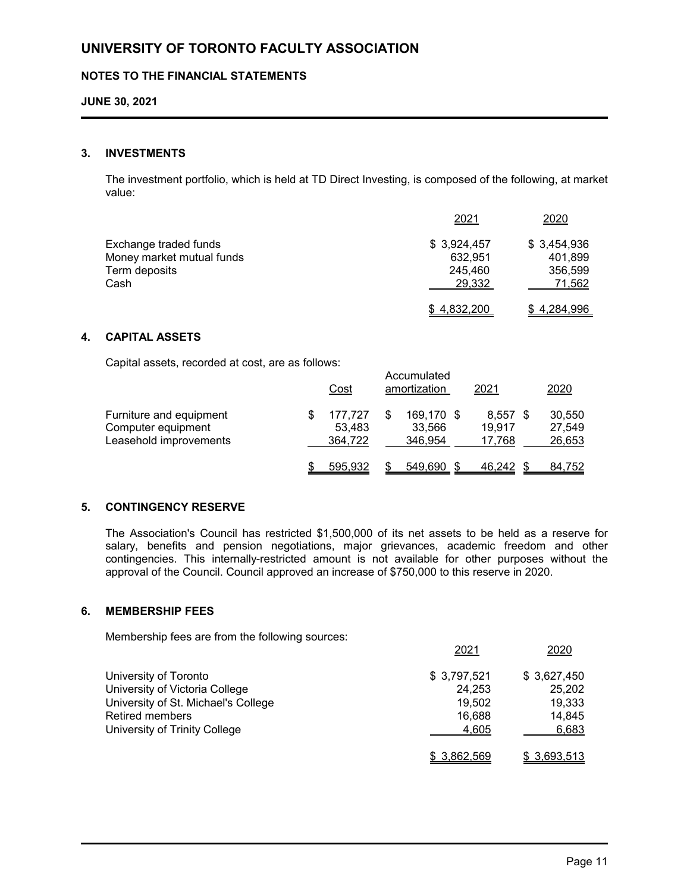#### **NOTES TO THE FINANCIAL STATEMENTS**

#### **JUNE 30, 2021**

#### **3. INVESTMENTS**

The investment portfolio, which is held at TD Direct Investing, is composed of the following, at market value:

|                           | 2021        | 2020        |
|---------------------------|-------------|-------------|
| Exchange traded funds     | \$3,924,457 | \$3,454,936 |
| Money market mutual funds | 632.951     | 401.899     |
| Term deposits             | 245,460     | 356.599     |
| Cash                      | 29,332      | 71,562      |
|                           | \$4,832,200 | \$4,284,996 |

#### **4. CAPITAL ASSETS**

Capital assets, recorded at cost, are as follows:

|                                                                         | <u>Cost</u>                  | Accumulated<br>amortization     | 2021                           | 2020                       |
|-------------------------------------------------------------------------|------------------------------|---------------------------------|--------------------------------|----------------------------|
| Furniture and equipment<br>Computer equipment<br>Leasehold improvements | 177.727<br>53,483<br>364,722 | 169,170 \$<br>33,566<br>346.954 | $8,557$ \$<br>19.917<br>17,768 | 30,550<br>27,549<br>26,653 |
|                                                                         | 595.932                      | 549,690                         | 46,242                         | 84,752                     |

#### **5. CONTINGENCY RESERVE**

The Association's Council has restricted \$1,500,000 of its net assets to be held as a reserve for salary, benefits and pension negotiations, major grievances, academic freedom and other contingencies. This internally-restricted amount is not available for other purposes without the approval of the Council. Council approved an increase of \$750,000 to this reserve in 2020.

#### **6. MEMBERSHIP FEES**

Membership fees are from the following sources:

|                                     | 2021         | 2020        |
|-------------------------------------|--------------|-------------|
| University of Toronto               | \$3,797,521  | \$3,627,450 |
| University of Victoria College      | 24.253       | 25,202      |
| University of St. Michael's College | 19.502       | 19,333      |
| <b>Retired members</b>              | 16.688       | 14,845      |
| University of Trinity College       | 4,605        | 6,683       |
|                                     | \$ 3,862,569 | \$3,693,513 |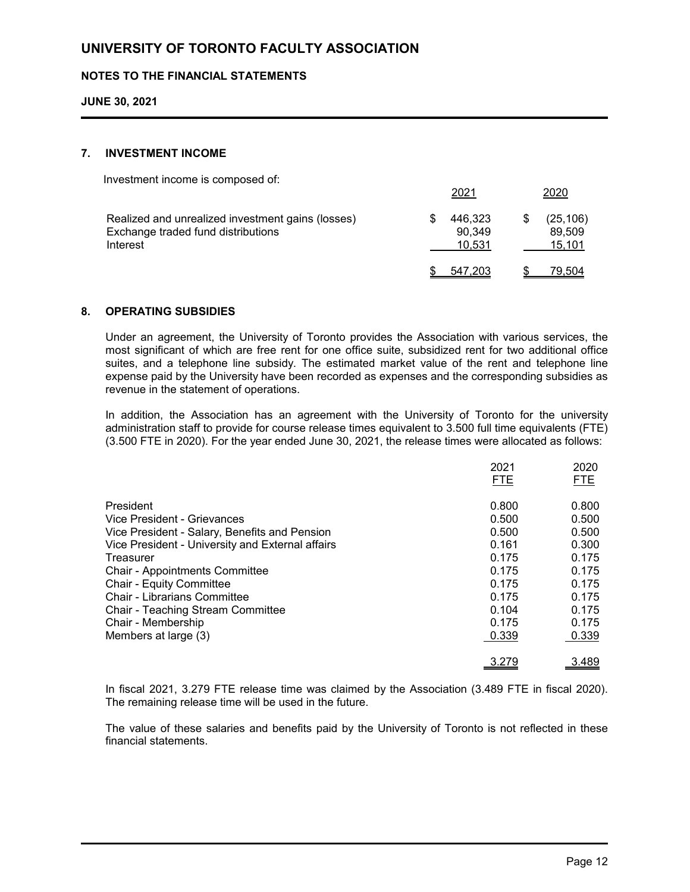#### **NOTES TO THE FINANCIAL STATEMENTS**

**JUNE 30, 2021**

#### **7. INVESTMENT INCOME**

Investment income is composed of:

|                                                                                                     | -~-                         | ---                           |
|-----------------------------------------------------------------------------------------------------|-----------------------------|-------------------------------|
| Realized and unrealized investment gains (losses)<br>Exchange traded fund distributions<br>Interest | 446.323<br>90.349<br>10.531 | (25, 106)<br>89.509<br>15,101 |
|                                                                                                     | 547.203                     | 79,504                        |

2021 2020

#### **8. OPERATING SUBSIDIES**

Under an agreement, the University of Toronto provides the Association with various services, the most significant of which are free rent for one office suite, subsidized rent for two additional office suites, and a telephone line subsidy. The estimated market value of the rent and telephone line expense paid by the University have been recorded as expenses and the corresponding subsidies as revenue in the statement of operations.

In addition, the Association has an agreement with the University of Toronto for the university administration staff to provide for course release times equivalent to 3.500 full time equivalents (FTE) (3.500 FTE in 2020). For the year ended June 30, 2021, the release times were allocated as follows:

|                                                  | 2021       | 2020       |
|--------------------------------------------------|------------|------------|
|                                                  | <b>FTE</b> | <b>FTE</b> |
| President                                        | 0.800      | 0.800      |
| Vice President - Grievances                      | 0.500      | 0.500      |
| Vice President - Salary, Benefits and Pension    | 0.500      | 0.500      |
| Vice President - University and External affairs | 0.161      | 0.300      |
| Treasurer                                        | 0.175      | 0.175      |
| <b>Chair - Appointments Committee</b>            | 0.175      | 0.175      |
| <b>Chair - Equity Committee</b>                  | 0.175      | 0.175      |
| <b>Chair - Librarians Committee</b>              | 0.175      | 0.175      |
| Chair - Teaching Stream Committee                | 0.104      | 0.175      |
| Chair - Membership                               | 0.175      | 0.175      |
| Members at large (3)                             | 0.339      | 0.339      |
|                                                  | 3.279      | 3.489      |

In fiscal 2021, 3.279 FTE release time was claimed by the Association (3.489 FTE in fiscal 2020). The remaining release time will be used in the future.

The value of these salaries and benefits paid by the University of Toronto is not reflected in these financial statements.